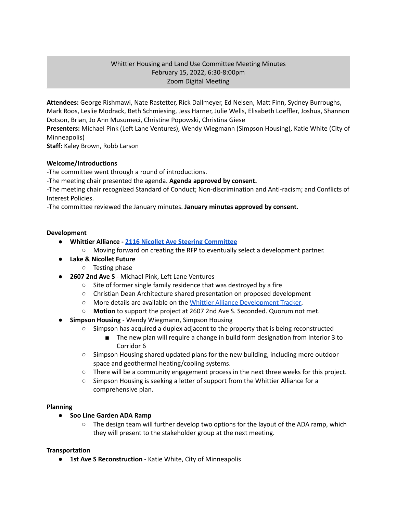# Whittier Housing and Land Use Committee Meeting Minutes February 15, 2022, 6:30-8:00pm Zoom Digital Meeting

**Attendees:** George Rishmawi, Nate Rastetter, Rick Dallmeyer, Ed Nelsen, Matt Finn, Sydney Burroughs, Mark Roos, Leslie Modrack, Beth Schmiesing, Jess Harner, Julie Wells, Elisabeth Loeffler, Joshua, Shannon Dotson, Brian, Jo Ann Musumeci, Christine Popowski, Christina Giese

**Presenters:** Michael Pink (Left Lane Ventures), Wendy Wiegmann (Simpson Housing), Katie White (City of Minneapolis)

**Staff:** Kaley Brown, Robb Larson

# **Welcome/Introductions**

-The committee went through a round of introductions.

-The meeting chair presented the agenda. **Agenda approved by consent.**

-The meeting chair recognized Standard of Conduct; Non-discrimination and Anti-racism; and Conflicts of Interest Policies.

-The committee reviewed the January minutes. **January minutes approved by consent.**

### **Development**

- **● Whittier Alliance - 2116 Nicollet Ave Steering [Committee](https://www.whittieralliance.org/2116-nicollet-ave-vacant-lot.html)**
	- Moving forward on creating the RFP to eventually select a development partner.
- **● Lake & Nicollet Future**
	- Testing phase
- **2607 2nd Ave S** Michael Pink, Left Lane Ventures
	- Site of former single family residence that was destroyed by a fire
	- Christian Dean Architecture shared presentation on proposed development
	- More details are available on the Whittier Alliance [Development](https://www.whittieralliance.org/development-tracker.html) Tracker.
	- **○ Motion** to support the project at 2607 2nd Ave S. Seconded. Quorum not met.
- **● Simpson Housing** Wendy Wiegmann, Simpson Housing
	- Simpson has acquired a duplex adjacent to the property that is being reconstructed
		- The new plan will require a change in build form designation from Interior 3 to Corridor 6
	- Simpson Housing shared updated plans for the new building, including more outdoor space and geothermal heating/cooling systems.
	- $\circ$  There will be a community engagement process in the next three weeks for this project.
	- Simpson Housing is seeking a letter of support from the Whittier Alliance for a comprehensive plan.

### **Planning**

### **● Soo Line Garden ADA Ramp**

**○** The design team will further develop two options for the layout of the ADA ramp, which they will present to the stakeholder group at the next meeting.

### **Transportation**

● **1st Ave S Reconstruction** - Katie White, City of Minneapolis